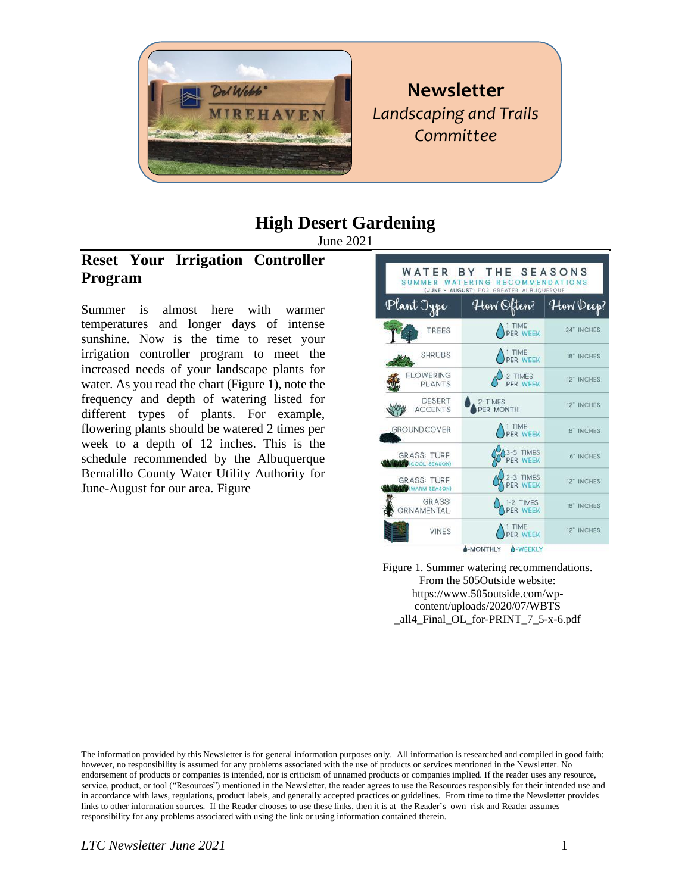

**Newsletter** *Landscaping and Trails Committee* 

# **High Desert Gardening**

June 2021

# **Reset Your Irrigation Controller Program**

Summer is almost here with warmer temperatures and longer days of intense sunshine. Now is the time to reset your irrigation controller program to meet the increased needs of your landscape plants for water. As you read the chart (Figure 1), note the frequency and depth of watering listed for different types of plants. For example, flowering plants should be watered 2 times per week to a depth of 12 inches. This is the schedule recommended by the Albuquerque Bernalillo County Water Utility Authority for June-August for our area. Figure



Figure 1. Summer watering recommendations. From the 505Outside website: https://www.505outside.com/wpcontent/uploads/2020/07/WBTS \_all4\_Final\_OL\_for-PRINT\_7\_5-x-6.pdf

The information provided by this Newsletter is for general information purposes only. All information is researched and compiled in good faith; however, no responsibility is assumed for any problems associated with the use of products or services mentioned in the Newsletter. No endorsement of products or companies is intended, nor is criticism of unnamed products or companies implied. If the reader uses any resource, service, product, or tool ("Resources") mentioned in the Newsletter, the reader agrees to use the Resources responsibly for their intended use and in accordance with laws, regulations, product labels, and generally accepted practices or guidelines. From time to time the Newsletter provides links to other information sources. If the Reader chooses to use these links, then it is at the Reader's own risk and Reader assumes responsibility for any problems associated with using the link or using information contained therein.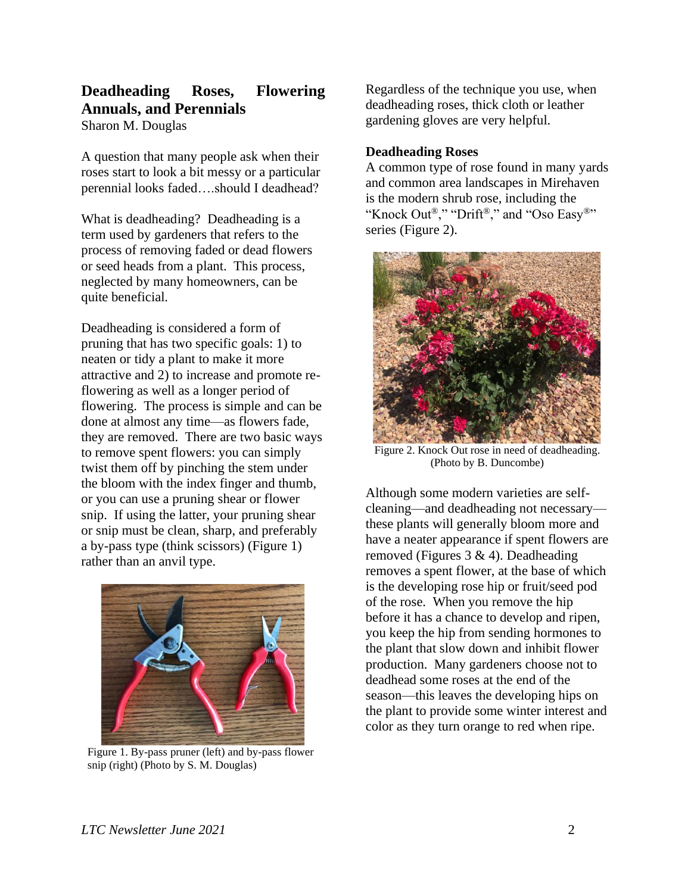## **Deadheading Roses, Flowering Annuals, and Perennials** Sharon M. Douglas

A question that many people ask when their roses start to look a bit messy or a particular perennial looks faded….should I deadhead?

What is deadheading? Deadheading is a term used by gardeners that refers to the process of removing faded or dead flowers or seed heads from a plant. This process, neglected by many homeowners, can be quite beneficial.

Deadheading is considered a form of pruning that has two specific goals: 1) to neaten or tidy a plant to make it more attractive and 2) to increase and promote reflowering as well as a longer period of flowering. The process is simple and can be done at almost any time—as flowers fade, they are removed. There are two basic ways to remove spent flowers: you can simply twist them off by pinching the stem under the bloom with the index finger and thumb, or you can use a pruning shear or flower snip. If using the latter, your pruning shear or snip must be clean, sharp, and preferably a by-pass type (think scissors) (Figure 1) rather than an anvil type.



Figure 1. By-pass pruner (left) and by-pass flower snip (right) (Photo by S. M. Douglas)

Regardless of the technique you use, when deadheading roses, thick cloth or leather gardening gloves are very helpful.

### **Deadheading Roses**

A common type of rose found in many yards and common area landscapes in Mirehaven is the modern shrub rose, including the "Knock Out®," "Drift®," and "Oso Easy®" series (Figure 2).



Figure 2. Knock Out rose in need of deadheading. (Photo by B. Duncombe)

Although some modern varieties are selfcleaning—and deadheading not necessary these plants will generally bloom more and have a neater appearance if spent flowers are removed (Figures 3 & 4). Deadheading removes a spent flower, at the base of which is the developing rose hip or fruit/seed pod of the rose. When you remove the hip before it has a chance to develop and ripen, you keep the hip from sending hormones to the plant that slow down and inhibit flower production. Many gardeners choose not to deadhead some roses at the end of the season—this leaves the developing hips on the plant to provide some winter interest and color as they turn orange to red when ripe.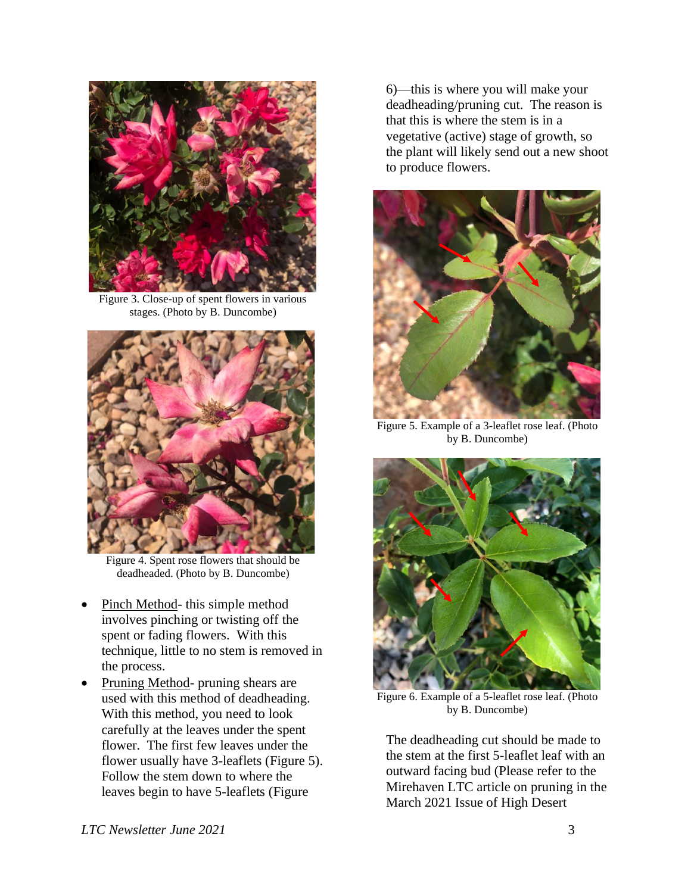

Figure 3. Close-up of spent flowers in various stages. (Photo by B. Duncombe)



Figure 4. Spent rose flowers that should be deadheaded. (Photo by B. Duncombe)

- Pinch Method- this simple method involves pinching or twisting off the spent or fading flowers. With this technique, little to no stem is removed in the process.
- Pruning Method- pruning shears are used with this method of deadheading. With this method, you need to look carefully at the leaves under the spent flower. The first few leaves under the flower usually have 3-leaflets (Figure 5). Follow the stem down to where the leaves begin to have 5-leaflets (Figure

6)—this is where you will make your deadheading/pruning cut. The reason is that this is where the stem is in a vegetative (active) stage of growth, so the plant will likely send out a new shoot to produce flowers.



Figure 5. Example of a 3-leaflet rose leaf. (Photo by B. Duncombe)



Figure 6. Example of a 5-leaflet rose leaf. (Photo by B. Duncombe)

The deadheading cut should be made to the stem at the first 5-leaflet leaf with an outward facing bud (Please refer to the Mirehaven LTC article on pruning in the March 2021 Issue of High Desert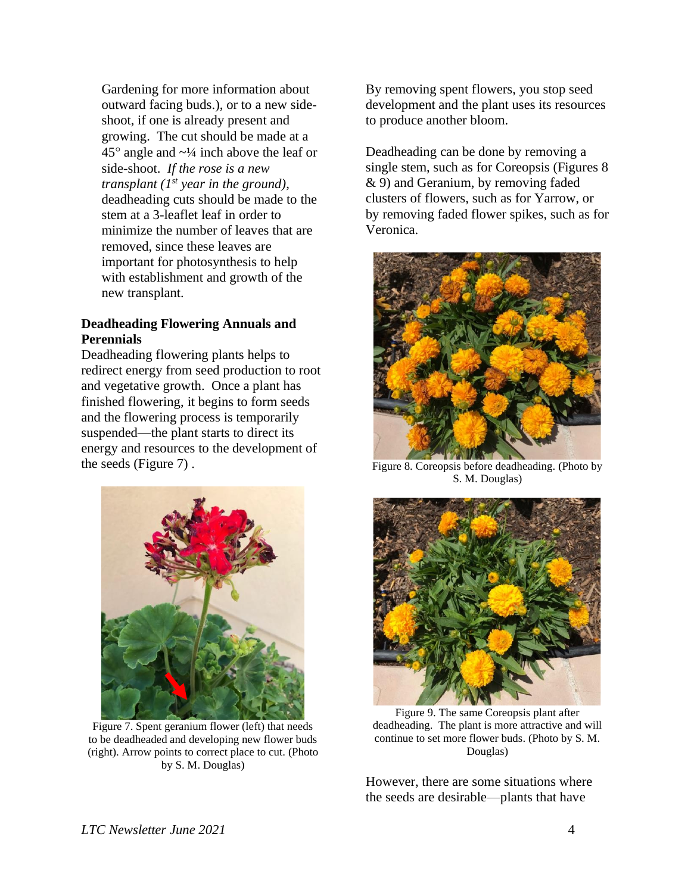Gardening for more information about outward facing buds.), or to a new sideshoot, if one is already present and growing. The cut should be made at a  $45^{\circ}$  angle and  $\sim$ <sup>1</sup>/<sub>4</sub> inch above the leaf or side-shoot. *If the rose is a new transplant (1st year in the ground)*, deadheading cuts should be made to the stem at a 3-leaflet leaf in order to minimize the number of leaves that are removed, since these leaves are important for photosynthesis to help with establishment and growth of the new transplant.

#### **Deadheading Flowering Annuals and Perennials**

Deadheading flowering plants helps to redirect energy from seed production to root and vegetative growth. Once a plant has finished flowering, it begins to form seeds and the flowering process is temporarily suspended—the plant starts to direct its energy and resources to the development of the seeds (Figure 7) .



Figure 7. Spent geranium flower (left) that needs to be deadheaded and developing new flower buds (right). Arrow points to correct place to cut. (Photo by S. M. Douglas)

By removing spent flowers, you stop seed development and the plant uses its resources to produce another bloom.

Deadheading can be done by removing a single stem, such as for Coreopsis (Figures 8 & 9) and Geranium, by removing faded clusters of flowers, such as for Yarrow, or by removing faded flower spikes, such as for Veronica.



Figure 8. Coreopsis before deadheading. (Photo by S. M. Douglas)



Figure 9. The same Coreopsis plant after deadheading. The plant is more attractive and will continue to set more flower buds. (Photo by S. M. Douglas)

However, there are some situations where the seeds are desirable—plants that have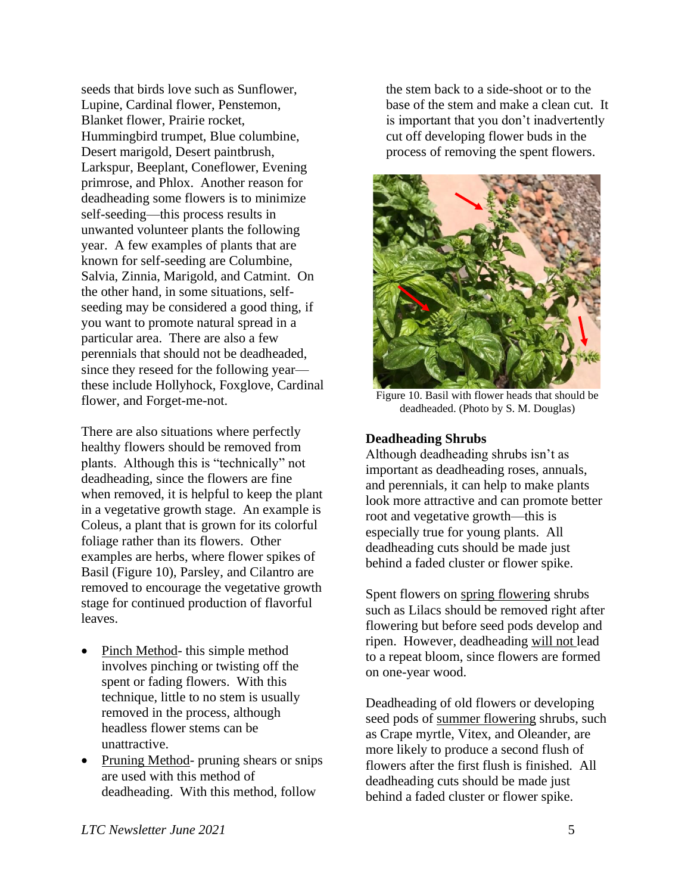seeds that birds love such as Sunflower, Lupine, Cardinal flower, Penstemon, Blanket flower, Prairie rocket, Hummingbird trumpet, Blue columbine, Desert marigold, Desert paintbrush, Larkspur, Beeplant, Coneflower, Evening primrose, and Phlox. Another reason for deadheading some flowers is to minimize self-seeding—this process results in unwanted volunteer plants the following year. A few examples of plants that are known for self-seeding are Columbine, Salvia, Zinnia, Marigold, and Catmint. On the other hand, in some situations, selfseeding may be considered a good thing, if you want to promote natural spread in a particular area. There are also a few perennials that should not be deadheaded, since they reseed for the following year these include Hollyhock, Foxglove, Cardinal flower, and Forget-me-not.

There are also situations where perfectly healthy flowers should be removed from plants. Although this is "technically" not deadheading, since the flowers are fine when removed, it is helpful to keep the plant in a vegetative growth stage. An example is Coleus, a plant that is grown for its colorful foliage rather than its flowers. Other examples are herbs, where flower spikes of Basil (Figure 10), Parsley, and Cilantro are removed to encourage the vegetative growth stage for continued production of flavorful leaves.

- Pinch Method- this simple method involves pinching or twisting off the spent or fading flowers. With this technique, little to no stem is usually removed in the process, although headless flower stems can be unattractive.
- Pruning Method- pruning shears or snips are used with this method of deadheading. With this method, follow

the stem back to a side-shoot or to the base of the stem and make a clean cut. It is important that you don't inadvertently cut off developing flower buds in the process of removing the spent flowers.



Figure 10. Basil with flower heads that should be deadheaded. (Photo by S. M. Douglas)

#### **Deadheading Shrubs**

Although deadheading shrubs isn't as important as deadheading roses, annuals, and perennials, it can help to make plants look more attractive and can promote better root and vegetative growth—this is especially true for young plants. All deadheading cuts should be made just behind a faded cluster or flower spike.

Spent flowers on spring flowering shrubs such as Lilacs should be removed right after flowering but before seed pods develop and ripen. However, deadheading will not lead to a repeat bloom, since flowers are formed on one-year wood.

Deadheading of old flowers or developing seed pods of summer flowering shrubs, such as Crape myrtle, Vitex, and Oleander, are more likely to produce a second flush of flowers after the first flush is finished. All deadheading cuts should be made just behind a faded cluster or flower spike.